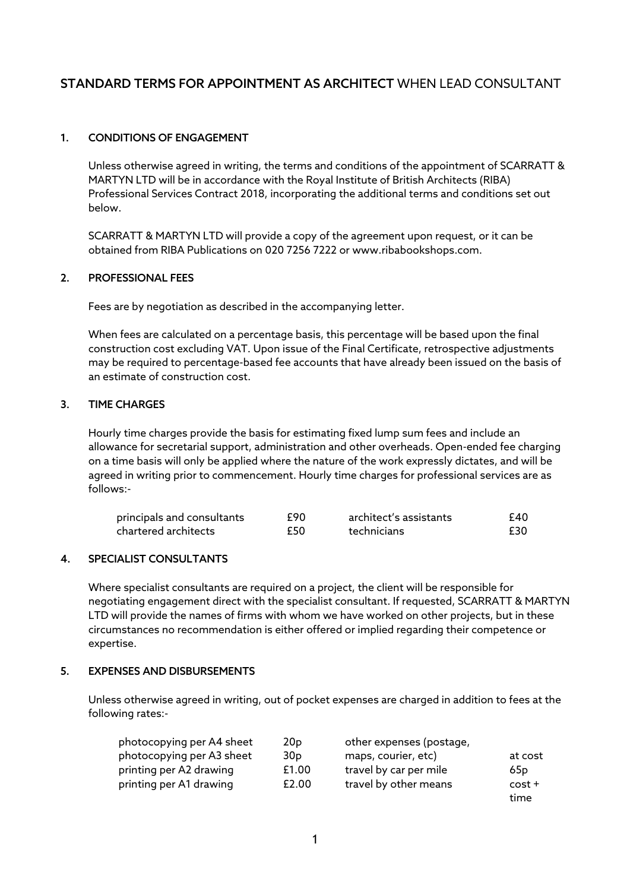# STANDARD TERMS FOR APPOINTMENT AS ARCHITECT WHEN LEAD CONSULTANT

# 1. CONDITIONS OF ENGAGEMENT

Unless otherwise agreed in writing, the terms and conditions of the appointment of SCARRATT & MARTYN LTD will be in accordance with the Royal Institute of British Architects (RIBA) Professional Services Contract 2018, incorporating the additional terms and conditions set out below.

SCARRATT & MARTYN LTD will provide a copy of the agreement upon request, or it can be obtained from RIBA Publications on 020 7256 7222 or www.ribabookshops.com.

### 2. PROFESSIONAL FEES

Fees are by negotiation as described in the accompanying letter.

When fees are calculated on a percentage basis, this percentage will be based upon the final construction cost excluding VAT. Upon issue of the Final Certificate, retrospective adjustments may be required to percentage-based fee accounts that have already been issued on the basis of an estimate of construction cost.

### 3. TIME CHARGES

Hourly time charges provide the basis for estimating fixed lump sum fees and include an allowance for secretarial support, administration and other overheads. Open-ended fee charging on a time basis will only be applied where the nature of the work expressly dictates, and will be agreed in writing prior to commencement. Hourly time charges for professional services are as follows:-

| principals and consultants | £90 | architect's assistants | £40. |
|----------------------------|-----|------------------------|------|
| chartered architects       | £50 | technicians            | £30  |

### 4. SPECIALIST CONSULTANTS

Where specialist consultants are required on a project, the client will be responsible for negotiating engagement direct with the specialist consultant. If requested, SCARRATT & MARTYN LTD will provide the names of firms with whom we have worked on other projects, but in these circumstances no recommendation is either offered or implied regarding their competence or expertise.

#### 5. EXPENSES AND DISBURSEMENTS

Unless otherwise agreed in writing, out of pocket expenses are charged in addition to fees at the following rates:-

| photocopying per A4 sheet | 20 <sub>p</sub> | other expenses (postage, |                 |
|---------------------------|-----------------|--------------------------|-----------------|
| photocopying per A3 sheet | 30 <sub>D</sub> | maps, courier, etc)      | at cost         |
| printing per A2 drawing   | £1.00           | travel by car per mile   | 65 <sub>D</sub> |
| printing per A1 drawing   | £2.00           | travel by other means    | $cost +$        |
|                           |                 |                          | time            |